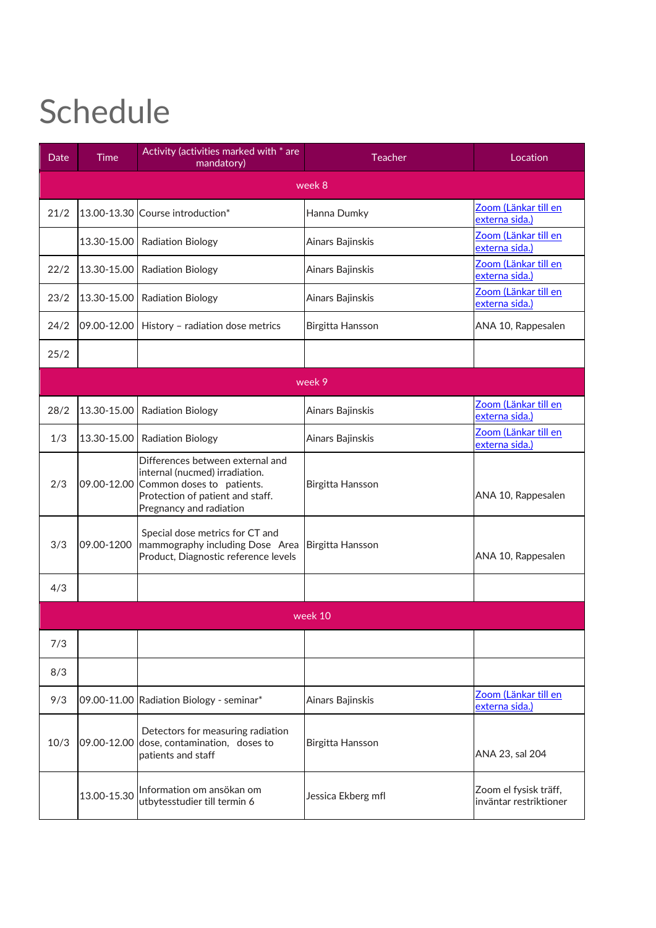## Schedule

| Date    | <b>Time</b> | Activity (activities marked with * are<br>mandatory)                                                                                                                       | Teacher            | Location                                        |  |  |  |
|---------|-------------|----------------------------------------------------------------------------------------------------------------------------------------------------------------------------|--------------------|-------------------------------------------------|--|--|--|
| week 8  |             |                                                                                                                                                                            |                    |                                                 |  |  |  |
| 21/2    |             | 13.00-13.30 Course introduction*                                                                                                                                           | Hanna Dumky        | <u>Zoom (Länkar till</u> en<br>externa sida.)   |  |  |  |
|         | 13.30-15.00 | <b>Radiation Biology</b>                                                                                                                                                   | Ainars Bajinskis   | Zoom (Länkar till en<br>externa sida.)          |  |  |  |
| 22/2    | 13.30-15.00 | <b>Radiation Biology</b>                                                                                                                                                   | Ainars Bajinskis   | Zoom (Länkar till en<br>externa sida.)          |  |  |  |
| 23/2    | 13.30-15.00 | <b>Radiation Biology</b>                                                                                                                                                   | Ainars Bajinskis   | Zoom (Länkar till en<br>externa sida.)          |  |  |  |
| 24/2    | 09.00-12.00 | History - radiation dose metrics                                                                                                                                           | Birgitta Hansson   | ANA 10, Rappesalen                              |  |  |  |
| 25/2    |             |                                                                                                                                                                            |                    |                                                 |  |  |  |
| week 9  |             |                                                                                                                                                                            |                    |                                                 |  |  |  |
| 28/2    | 13.30-15.00 | <b>Radiation Biology</b>                                                                                                                                                   | Ainars Bajinskis   | Zoom (Länkar till en<br>externa sida.)          |  |  |  |
| 1/3     | 13.30-15.00 | <b>Radiation Biology</b>                                                                                                                                                   | Ainars Bajinskis   | Zoom (Länkar till en<br>externa sida.)          |  |  |  |
| 2/3     |             | Differences between external and<br>internal (nucmed) irradiation.<br>09.00-12.00 Common doses to patients.<br>Protection of patient and staff.<br>Pregnancy and radiation | Birgitta Hansson   | ANA 10, Rappesalen                              |  |  |  |
| 3/3     | 09.00-1200  | Special dose metrics for CT and<br>mammography including Dose Area<br>Product, Diagnostic reference levels                                                                 | Birgitta Hansson   | ANA 10, Rappesalen                              |  |  |  |
| 4/3     |             |                                                                                                                                                                            |                    |                                                 |  |  |  |
| week 10 |             |                                                                                                                                                                            |                    |                                                 |  |  |  |
| 7/3     |             |                                                                                                                                                                            |                    |                                                 |  |  |  |
| 8/3     |             |                                                                                                                                                                            |                    |                                                 |  |  |  |
| 9/3     |             | 09.00-11.00 Radiation Biology - seminar*                                                                                                                                   | Ainars Bajinskis   | Zoom (Länkar till en<br>externa sida.)          |  |  |  |
| 10/3    |             | Detectors for measuring radiation<br>09.00-12.00 dose, contamination, doses to<br>patients and staff                                                                       | Birgitta Hansson   | ANA 23, sal 204                                 |  |  |  |
|         | 13.00-15.30 | Information om ansökan om<br>utbytesstudier till termin 6                                                                                                                  | Jessica Ekberg mfl | Zoom el fysisk träff,<br>inväntar restriktioner |  |  |  |